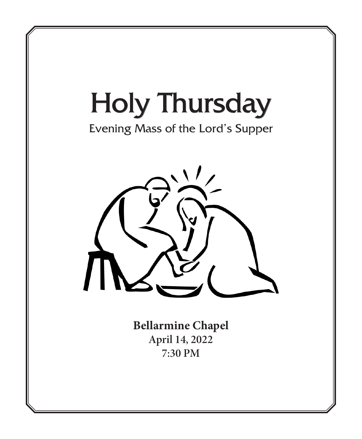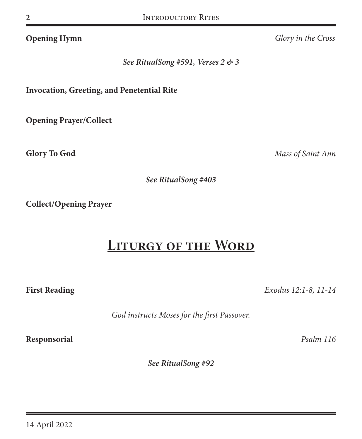**Opening Hymn** *Glory in the Cross*

*See RitualSong #591, Verses 2 & 3*

**Invocation, Greeting, and Penetential Rite**

**Opening Prayer/Collect**

**Glory To God** *Mass of Saint Ann*

*See RitualSong #403*

**Collect/Opening Prayer**

# **Liturgy of the Word**

**First Reading** *Exodus 12:1-8, 11-14*

*God instructs Moses for the first Passover.*

**Responsorial** *Psalm 116*

*See RitualSong #92*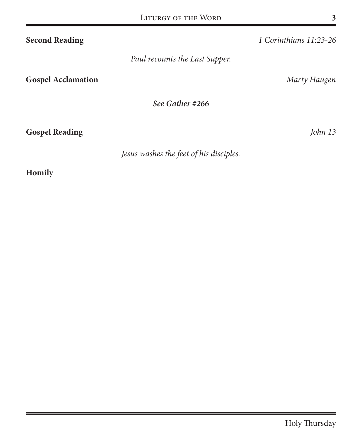| <b>Second Reading</b>          | 1 Corinthians 11:23-26 |
|--------------------------------|------------------------|
| Paul recounts the Last Supper. |                        |
| <b>Gospel Acclamation</b>      | Marty Haugen           |
| See Gather #266                |                        |
| <b>Gospel Reading</b>          | John 13                |

*Jesus washes the feet of his disciples.*

## **Homily**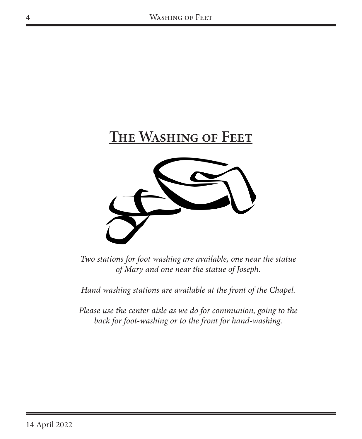



*Two stations for foot washing are available, one near the statue of Mary and one near the statue of Joseph.* 

*Hand washing stations are available at the front of the Chapel.*

*Please use the center aisle as we do for communion, going to the back for foot-washing or to the front for hand-washing.*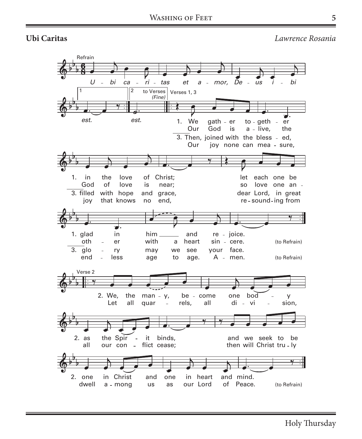**Ubi Caritas U** *Lawrence Rosania* **bi Caritas**



Holy Thursday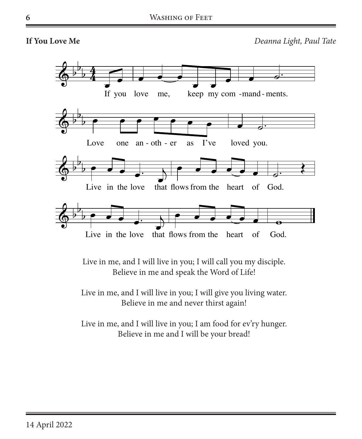**If You Love Me** *Deanna Light, Paul Tate* 



Live in me, and I will live in you; I will call you my disciple. Believe in me and speak the Word of Life!

Live in me, and I will live in you; I will give you living water. Believe in me and never thirst again!

Live in me, and I will live in you; I am food for ev'ry hunger. Believe in me and I will be your bread!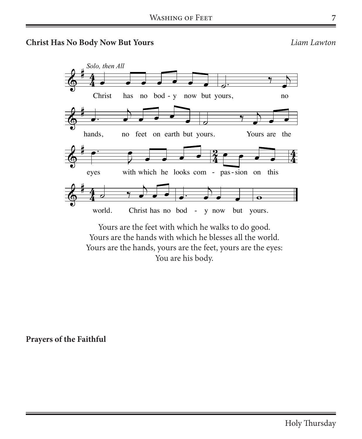### **Christ Has No Body Now But Yours** *Liam Lawton*



You are his body.

**Prayers of the Faithful**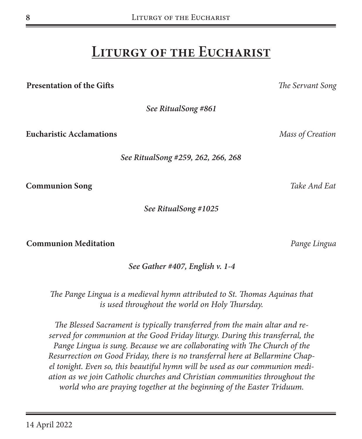# **Liturgy of the Eucharist**

**Presentation of the Gifts** *The Servant Song*

**8**

*See RitualSong #861*

**Eucharistic Acclamations** *Mass of Creation*

*See RitualSong #259, 262, 266, 268*

**Communion Song** *Take And Eat*

*See RitualSong #1025*

**Communion Meditation** *Pange Lingua*

*See Gather #407, English v. 1-4*

*The Pange Lingua is a medieval hymn attributed to St. Thomas Aquinas that is used throughout the world on Holy Thursday.* 

*The Blessed Sacrament is typically transferred from the main altar and reserved for communion at the Good Friday liturgy. During this transferral, the*  Pange Lingua is sung. Because we are collaborating with The Church of the *Resurrection on Good Friday, there is no transferral here at Bellarmine Chapel tonight. Even so, this beautiful hymn will be used as our communion mediation as we join Catholic churches and Christian communities throughout the world who are praying together at the beginning of the Easter Triduum.*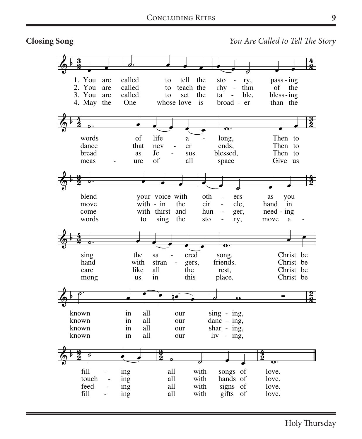**Closing Song** 



Holy Thursday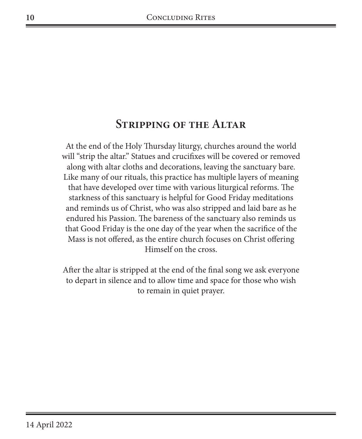## **Stripping of the Altar**

At the end of the Holy Thursday liturgy, churches around the world will "strip the altar." Statues and crucifixes will be covered or removed along with altar cloths and decorations, leaving the sanctuary bare. Like many of our rituals, this practice has multiple layers of meaning that have developed over time with various liturgical reforms. The starkness of this sanctuary is helpful for Good Friday meditations and reminds us of Christ, who was also stripped and laid bare as he endured his Passion. The bareness of the sanctuary also reminds us that Good Friday is the one day of the year when the sacrifice of the Mass is not offered, as the entire church focuses on Christ offering Himself on the cross.

After the altar is stripped at the end of the final song we ask everyone to depart in silence and to allow time and space for those who wish to remain in quiet prayer.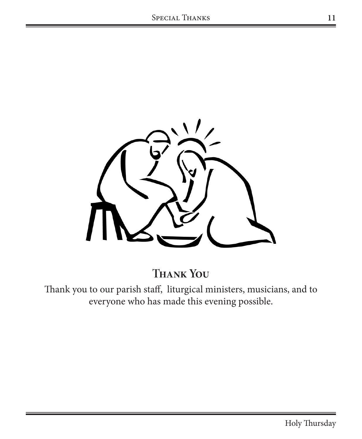

**Thank You**

Thank you to our parish staff, liturgical ministers, musicians, and to everyone who has made this evening possible.